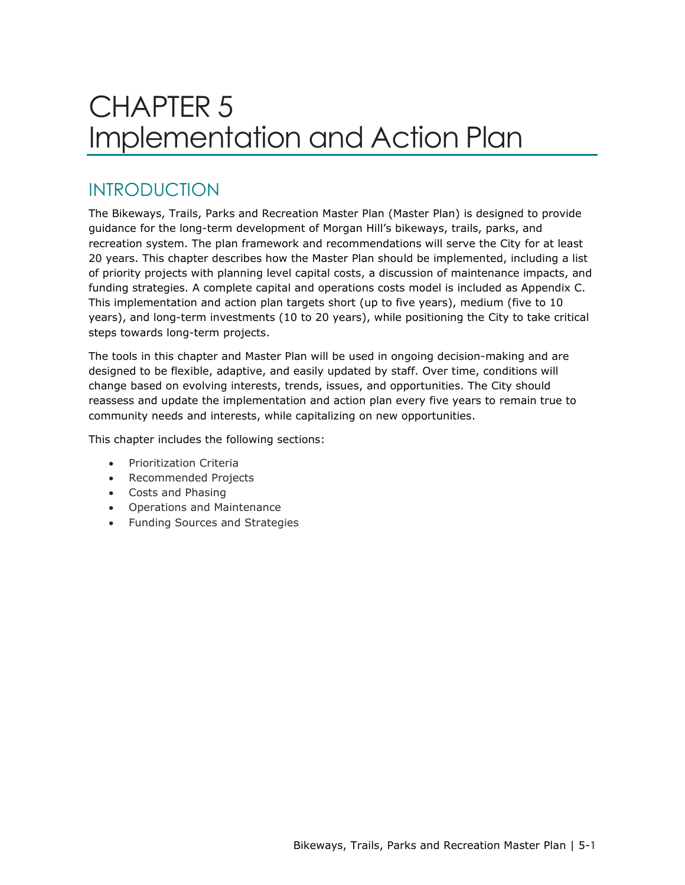# CHAPTER 5 Implementation and Action Plan

### INTRODUCTION

The Bikeways, Trails, Parks and Recreation Master Plan (Master Plan) is designed to provide guidance for the long-term development of Morgan Hill's bikeways, trails, parks, and recreation system. The plan framework and recommendations will serve the City for at least 20 years. This chapter describes how the Master Plan should be implemented, including a list of priority projects with planning level capital costs, a discussion of maintenance impacts, and funding strategies. A complete capital and operations costs model is included as Appendix C. This implementation and action plan targets short (up to five years), medium (five to 10 years), and long-term investments (10 to 20 years), while positioning the City to take critical steps towards long-term projects.

The tools in this chapter and Master Plan will be used in ongoing decision-making and are designed to be flexible, adaptive, and easily updated by staff. Over time, conditions will change based on evolving interests, trends, issues, and opportunities. The City should reassess and update the implementation and action plan every five years to remain true to community needs and interests, while capitalizing on new opportunities.

This chapter includes the following sections:

- Prioritization Criteria
- Recommended Projects
- Costs and Phasing
- Operations and Maintenance
- Funding Sources and Strategies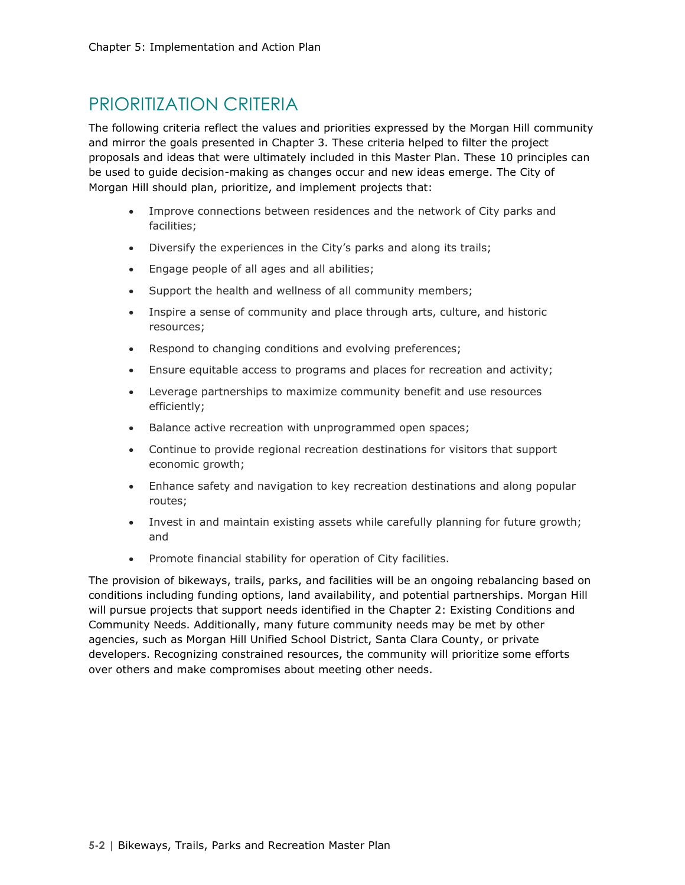### PRIORITIZATION CRITERIA

The following criteria reflect the values and priorities expressed by the Morgan Hill community and mirror the goals presented in Chapter 3. These criteria helped to filter the project proposals and ideas that were ultimately included in this Master Plan. These 10 principles can be used to guide decision-making as changes occur and new ideas emerge. The City of Morgan Hill should plan, prioritize, and implement projects that:

- Improve connections between residences and the network of City parks and facilities;
- Diversify the experiences in the City's parks and along its trails;
- Engage people of all ages and all abilities;
- Support the health and wellness of all community members;
- Inspire a sense of community and place through arts, culture, and historic resources;
- Respond to changing conditions and evolving preferences;
- Ensure equitable access to programs and places for recreation and activity;
- Leverage partnerships to maximize community benefit and use resources efficiently;
- Balance active recreation with unprogrammed open spaces;
- Continue to provide regional recreation destinations for visitors that support economic growth;
- Enhance safety and navigation to key recreation destinations and along popular routes;
- Invest in and maintain existing assets while carefully planning for future growth; and
- Promote financial stability for operation of City facilities.

The provision of bikeways, trails, parks, and facilities will be an ongoing rebalancing based on conditions including funding options, land availability, and potential partnerships. Morgan Hill will pursue projects that support needs identified in the Chapter 2: Existing Conditions and Community Needs. Additionally, many future community needs may be met by other agencies, such as Morgan Hill Unified School District, Santa Clara County, or private developers. Recognizing constrained resources, the community will prioritize some efforts over others and make compromises about meeting other needs.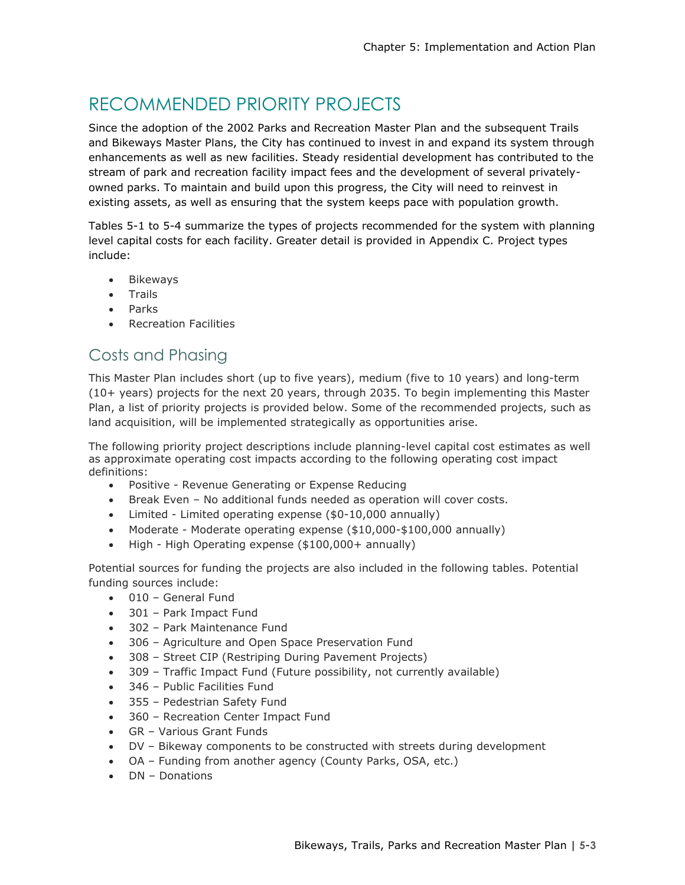## RECOMMENDED PRIORITY PROJECTS

Since the adoption of the 2002 Parks and Recreation Master Plan and the subsequent Trails and Bikeways Master Plans, the City has continued to invest in and expand its system through enhancements as well as new facilities. Steady residential development has contributed to the stream of park and recreation facility impact fees and the development of several privatelyowned parks. To maintain and build upon this progress, the City will need to reinvest in existing assets, as well as ensuring that the system keeps pace with population growth.

Tables 5-1 to 5-4 summarize the types of projects recommended for the system with planning level capital costs for each facility. Greater detail is provided in Appendix C. Project types include:

- Bikeways
- Trails
- Parks
- Recreation Facilities

#### Costs and Phasing

This Master Plan includes short (up to five years), medium (five to 10 years) and long-term (10+ years) projects for the next 20 years, through 2035. To begin implementing this Master Plan, a list of priority projects is provided below. Some of the recommended projects, such as land acquisition, will be implemented strategically as opportunities arise.

The following priority project descriptions include planning-level capital cost estimates as well as approximate operating cost impacts according to the following operating cost impact definitions:

- Positive Revenue Generating or Expense Reducing
- Break Even No additional funds needed as operation will cover costs.
- Limited Limited operating expense (\$0-10,000 annually)
- Moderate Moderate operating expense (\$10,000-\$100,000 annually)
- High High Operating expense (\$100,000+ annually)

Potential sources for funding the projects are also included in the following tables. Potential funding sources include:

- 010 General Fund
- 301 Park Impact Fund
- 302 Park Maintenance Fund
- 306 Agriculture and Open Space Preservation Fund
- 308 Street CIP (Restriping During Pavement Projects)
- 309 Traffic Impact Fund (Future possibility, not currently available)
- 346 Public Facilities Fund
- 355 Pedestrian Safety Fund
- 360 Recreation Center Impact Fund
- GR Various Grant Funds
- DV Bikeway components to be constructed with streets during development
- OA Funding from another agency (County Parks, OSA, etc.)
- DN Donations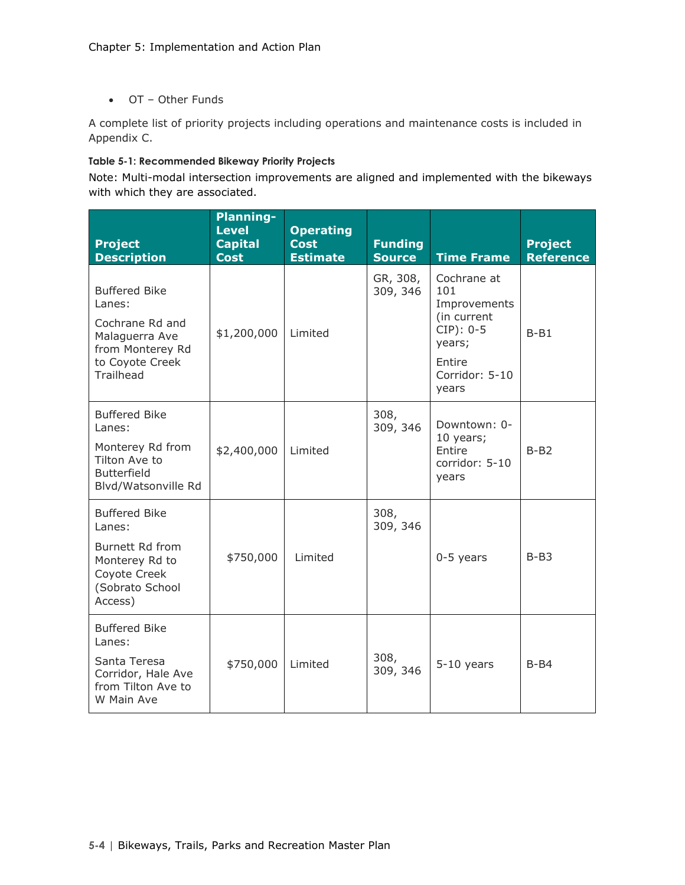• OT – Other Funds

A complete list of priority projects including operations and maintenance costs is included in Appendix C.

#### **Table 5-1: Recommended Bikeway Priority Projects**

Note: Multi-modal intersection improvements are aligned and implemented with the bikeways with which they are associated.

| <b>Project</b><br><b>Description</b>                                                                                           | <b>Planning-</b><br><b>Level</b><br><b>Capital</b><br><b>Cost</b> | <b>Operating</b><br><b>Cost</b><br><b>Estimate</b> | <b>Funding</b><br><b>Source</b> | <b>Time Frame</b>                                                                                               | <b>Project</b><br><b>Reference</b> |
|--------------------------------------------------------------------------------------------------------------------------------|-------------------------------------------------------------------|----------------------------------------------------|---------------------------------|-----------------------------------------------------------------------------------------------------------------|------------------------------------|
| <b>Buffered Bike</b><br>Lanes:<br>Cochrane Rd and<br>Malaguerra Ave<br>from Monterey Rd<br>to Coyote Creek<br><b>Trailhead</b> | \$1,200,000                                                       | Limited                                            | GR, 308,<br>309, 346            | Cochrane at<br>101<br>Improvements<br>(in current<br>$CIP$ : 0-5<br>years;<br>Entire<br>Corridor: 5-10<br>years | $B - B1$                           |
| <b>Buffered Bike</b><br>Lanes:<br>Monterey Rd from<br>Tilton Ave to<br><b>Butterfield</b><br>Blvd/Watsonville Rd               | \$2,400,000                                                       | Limited                                            | 308,<br>309, 346                | Downtown: 0-<br>10 years;<br>Entire<br>corridor: 5-10<br>years                                                  | $B-B2$                             |
| <b>Buffered Bike</b><br>Lanes:<br>Burnett Rd from<br>Monterey Rd to<br>Coyote Creek<br>(Sobrato School<br>Access)              | \$750,000                                                         | Limited                                            | 308,<br>309, 346                | $0-5$ years                                                                                                     | $B - B3$                           |
| <b>Buffered Bike</b><br>Lanes:<br>Santa Teresa<br>Corridor, Hale Ave<br>from Tilton Ave to<br>W Main Ave                       | \$750,000                                                         | Limited                                            | 308,<br>309, 346                | $5-10$ years                                                                                                    | $B - B4$                           |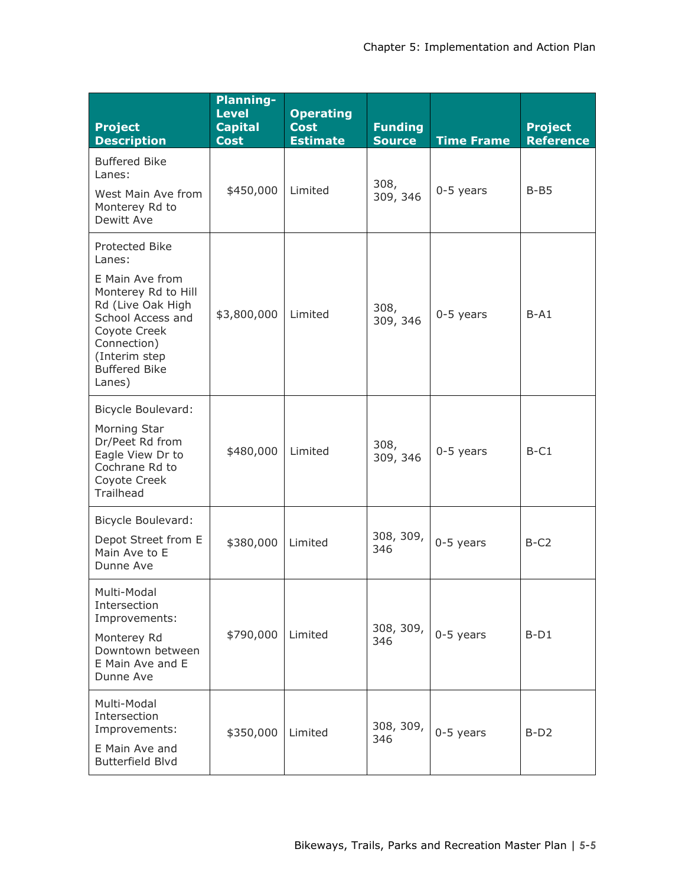| <b>Project</b><br><b>Description</b>                                                                                                                                                           | <b>Planning-</b><br><b>Level</b><br><b>Capital</b><br><b>Cost</b> | <b>Operating</b><br><b>Cost</b><br><b>Estimate</b> | <b>Funding</b><br><b>Source</b> | <b>Time Frame</b> | <b>Project</b><br><b>Reference</b> |
|------------------------------------------------------------------------------------------------------------------------------------------------------------------------------------------------|-------------------------------------------------------------------|----------------------------------------------------|---------------------------------|-------------------|------------------------------------|
| <b>Buffered Bike</b><br>Lanes:<br>West Main Ave from<br>Monterey Rd to<br>Dewitt Ave                                                                                                           | \$450,000                                                         | Limited                                            | 308,<br>309, 346                | $0-5$ years       | $B - B5$                           |
| Protected Bike<br>Lanes:<br>E Main Ave from<br>Monterey Rd to Hill<br>Rd (Live Oak High<br>School Access and<br>Coyote Creek<br>Connection)<br>(Interim step<br><b>Buffered Bike</b><br>Lanes) | \$3,800,000                                                       | Limited                                            | 308,<br>309, 346                | $0-5$ years       | $B-A1$                             |
| Bicycle Boulevard:<br>Morning Star<br>Dr/Peet Rd from<br>Eagle View Dr to<br>Cochrane Rd to<br>Coyote Creek<br>Trailhead                                                                       | \$480,000                                                         | Limited                                            | 308,<br>309, 346                | $0-5$ years       | $B-C1$                             |
| <b>Bicycle Boulevard:</b><br>Depot Street from E<br>Main Ave to E<br>Dunne Ave                                                                                                                 | \$380,000                                                         | Limited                                            | 308, 309,<br>346                | $0-5$ years       | $B-C2$                             |
| Multi-Modal<br>Intersection<br>Improvements:<br>Monterey Rd<br>Downtown between<br>E Main Ave and E<br>Dunne Ave                                                                               | \$790,000                                                         | Limited                                            | 308, 309,<br>346                | $0-5$ years       | $B-D1$                             |
| Multi-Modal<br>Intersection<br>Improvements:<br>E Main Ave and<br><b>Butterfield Blvd</b>                                                                                                      | \$350,000                                                         | Limited                                            | 308, 309,<br>346                | $0-5$ years       | $B-D2$                             |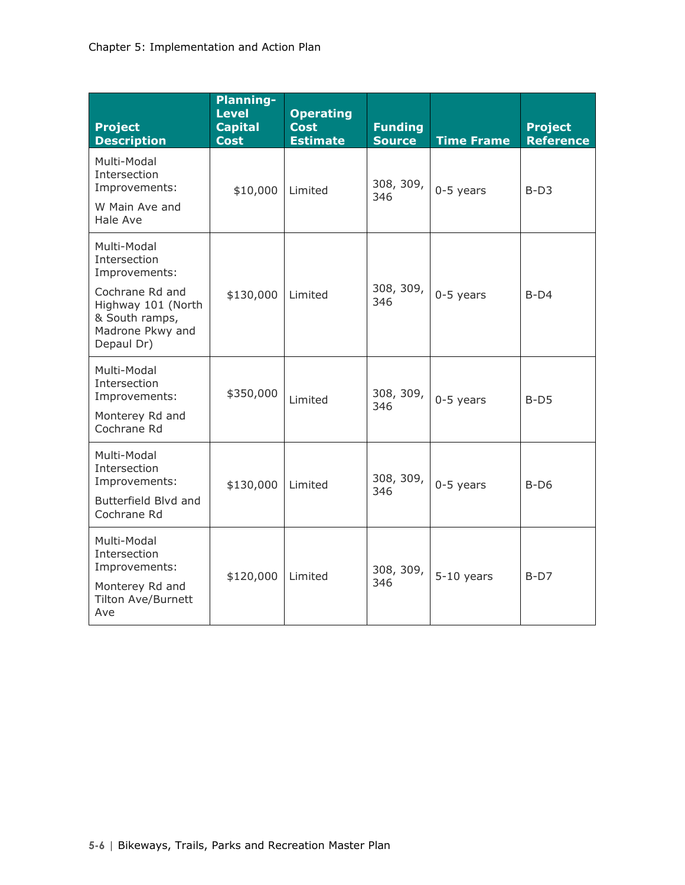| <b>Project</b><br><b>Description</b>                                                                                                      | <b>Planning-</b><br><b>Level</b><br><b>Capital</b><br><b>Cost</b> | <b>Operating</b><br><b>Cost</b><br><b>Estimate</b> | <b>Funding</b><br><b>Source</b> | <b>Time Frame</b> | <b>Project</b><br><b>Reference</b> |
|-------------------------------------------------------------------------------------------------------------------------------------------|-------------------------------------------------------------------|----------------------------------------------------|---------------------------------|-------------------|------------------------------------|
| Multi-Modal<br>Intersection<br>Improvements:<br>W Main Ave and<br>Hale Ave                                                                | \$10,000                                                          | Limited                                            | 308, 309,<br>346                | $0-5$ years       | $B-D3$                             |
| Multi-Modal<br>Intersection<br>Improvements:<br>Cochrane Rd and<br>Highway 101 (North<br>& South ramps,<br>Madrone Pkwy and<br>Depaul Dr) | \$130,000                                                         | Limited                                            | 308, 309,<br>346                | $0-5$ years       | $B-D4$                             |
| Multi-Modal<br>Intersection<br>Improvements:<br>Monterey Rd and<br>Cochrane Rd                                                            | \$350,000                                                         | Limited                                            | 308, 309,<br>346                | $0-5$ years       | $B-D5$                             |
| Multi-Modal<br>Intersection<br>Improvements:<br>Butterfield Blvd and<br>Cochrane Rd                                                       | \$130,000                                                         | Limited                                            | 308, 309,<br>346                | $0-5$ years       | $B-D6$                             |
| Multi-Modal<br>Intersection<br>Improvements:<br>Monterey Rd and<br><b>Tilton Ave/Burnett</b><br>Ave                                       | \$120,000                                                         | Limited                                            | 308, 309,<br>346                | $5-10$ years      | $B-D7$                             |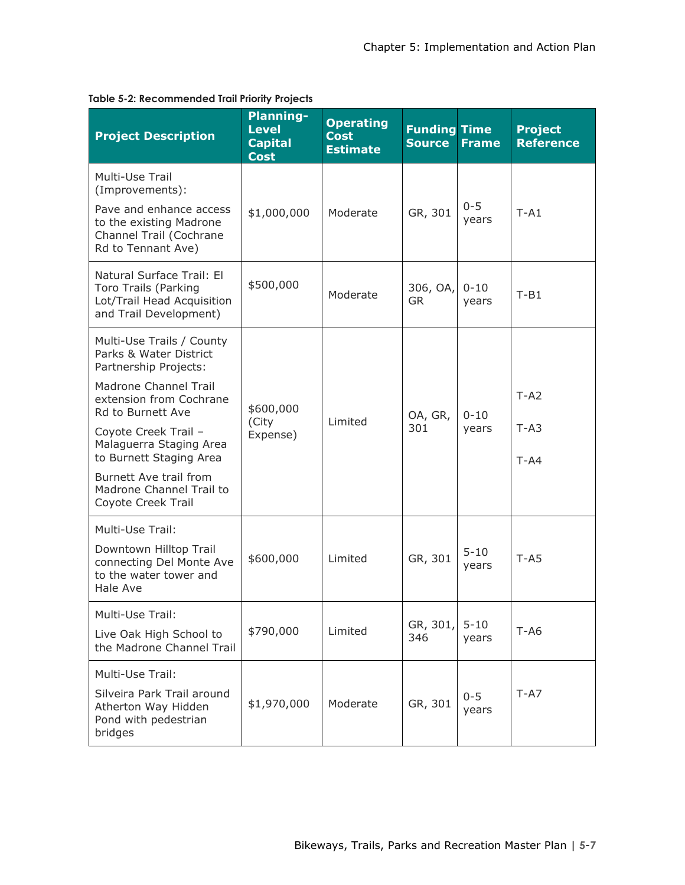| <b>Project Description</b>                                                                                                                                                                                                                                                                                      | <b>Planning-</b><br><b>Level</b><br><b>Capital</b><br><b>Cost</b> | <b>Operating</b><br><b>Cost</b><br><b>Estimate</b> | <b>Funding Time</b><br><b>Source</b> | <b>Frame</b>      | <b>Project</b><br><b>Reference</b> |
|-----------------------------------------------------------------------------------------------------------------------------------------------------------------------------------------------------------------------------------------------------------------------------------------------------------------|-------------------------------------------------------------------|----------------------------------------------------|--------------------------------------|-------------------|------------------------------------|
| Multi-Use Trail<br>(Improvements):<br>Pave and enhance access<br>to the existing Madrone<br>Channel Trail (Cochrane<br>Rd to Tennant Ave)                                                                                                                                                                       | \$1,000,000                                                       | Moderate                                           | GR, 301                              | $0 - 5$<br>years  | $T - A1$                           |
| Natural Surface Trail: El<br>Toro Trails (Parking<br>Lot/Trail Head Acquisition<br>and Trail Development)                                                                                                                                                                                                       | \$500,000                                                         | Moderate                                           | 306, OA,<br><b>GR</b>                | $0 - 10$<br>years | $T-B1$                             |
| Multi-Use Trails / County<br>Parks & Water District<br>Partnership Projects:<br>Madrone Channel Trail<br>extension from Cochrane<br>Rd to Burnett Ave<br>Coyote Creek Trail -<br>Malaguerra Staging Area<br>to Burnett Staging Area<br>Burnett Ave trail from<br>Madrone Channel Trail to<br>Coyote Creek Trail | \$600,000<br>(City<br>Expense)                                    | Limited                                            | OA, GR,<br>301                       | $0 - 10$<br>years | $T - A2$<br>$T - A3$<br>$T - A4$   |
| Multi-Use Trail:<br>Downtown Hilltop Trail<br>connecting Del Monte Ave<br>to the water tower and<br>Hale Ave                                                                                                                                                                                                    | \$600,000                                                         | Limited                                            | GR, 301                              | $5 - 10$<br>vears | $T - A5$                           |
| Multi-Use Trail:<br>Live Oak High School to<br>the Madrone Channel Trail                                                                                                                                                                                                                                        | \$790,000                                                         | Limited                                            | GR, 301,<br>346                      | $5 - 10$<br>years | $T-AG$                             |
| Multi-Use Trail:<br>Silveira Park Trail around<br>Atherton Way Hidden<br>Pond with pedestrian<br>bridges                                                                                                                                                                                                        | \$1,970,000                                                       | Moderate                                           | GR, 301                              | $0 - 5$<br>years  | $T - A7$                           |

#### **Table 5-2: Recommended Trail Priority Projects**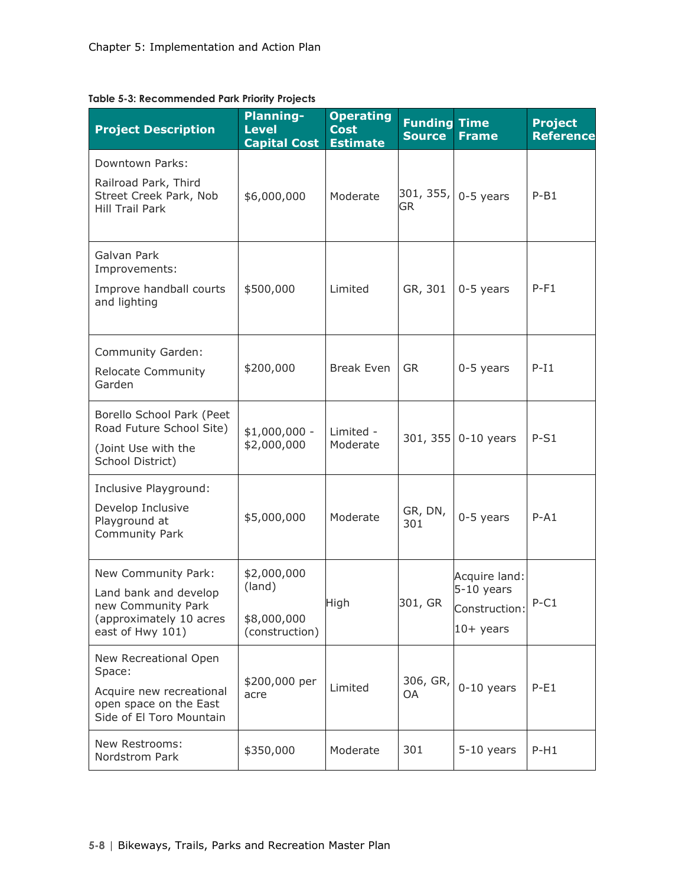| <b>Project Description</b>                                                                                        | <b>Planning-</b><br><b>Level</b><br><b>Capital Cost</b> | <b>Operating</b><br><b>Cost</b><br><b>Estimate</b> | <b>Funding Time</b><br><b>Source</b> | <b>Frame</b>                                                | <b>Project</b><br><b>Reference</b> |
|-------------------------------------------------------------------------------------------------------------------|---------------------------------------------------------|----------------------------------------------------|--------------------------------------|-------------------------------------------------------------|------------------------------------|
| Downtown Parks:<br>Railroad Park, Third<br>Street Creek Park, Nob<br><b>Hill Trail Park</b>                       | \$6,000,000                                             | Moderate                                           | 301, 355,<br>GR                      | $0-5$ years                                                 | $P-B1$                             |
| Galvan Park<br>Improvements:<br>Improve handball courts<br>and lighting                                           | \$500,000                                               | Limited                                            | GR, 301                              | $0-5$ years                                                 | $P-F1$                             |
| Community Garden:<br><b>Relocate Community</b><br>Garden                                                          | \$200,000                                               | <b>Break Even</b>                                  | <b>GR</b>                            | $0-5$ years                                                 | $P-I1$                             |
| Borello School Park (Peet<br>Road Future School Site)<br>(Joint Use with the<br>School District)                  | $$1,000,000 -$<br>\$2,000,000                           | Limited -<br>Moderate                              |                                      | 301, 355 0-10 years                                         | $P-S1$                             |
| Inclusive Playground:<br>Develop Inclusive<br>Playground at<br>Community Park                                     | \$5,000,000                                             | Moderate                                           | GR, DN,<br>301                       | $0-5$ years                                                 | $P - A1$                           |
| New Community Park:<br>Land bank and develop<br>new Community Park<br>(approximately 10 acres<br>east of Hwy 101) | \$2,000,000<br>(land)<br>\$8,000,000<br>(construction)  | High                                               | 301, GR                              | Acquire land:<br>5-10 years<br>Construction:<br>$10+$ years | $P-C1$                             |
| New Recreational Open<br>Space:<br>Acquire new recreational<br>open space on the East<br>Side of El Toro Mountain | \$200,000 per<br>acre                                   | Limited                                            | 306, GR,<br>OA                       | $0-10$ years                                                | $P-E1$                             |
| New Restrooms:<br>Nordstrom Park                                                                                  | \$350,000                                               | Moderate                                           | 301                                  | $5-10$ years                                                | $P-H1$                             |

**Table 5-3: Recommended Park Priority Projects**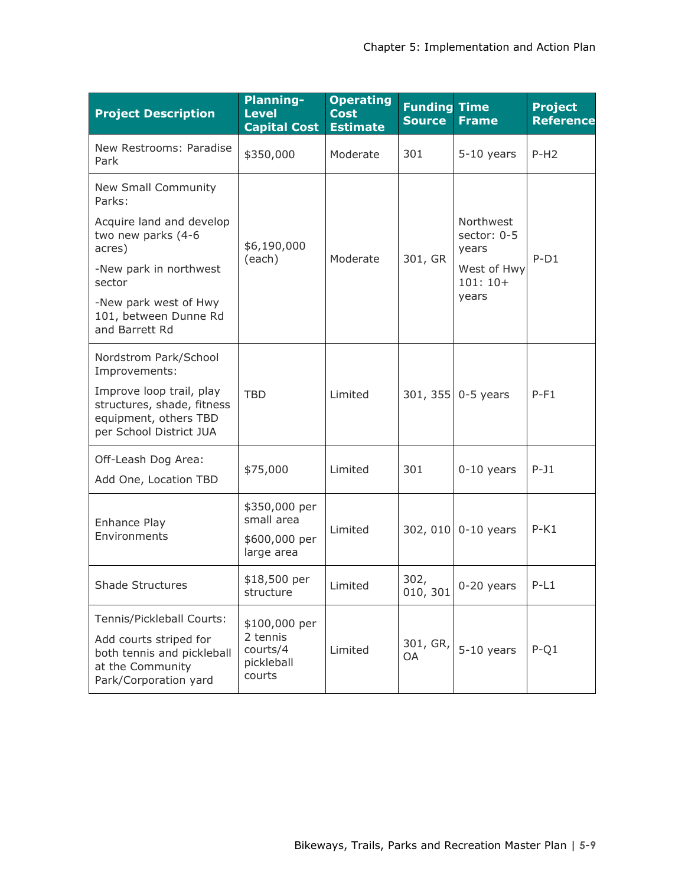| <b>Project Description</b>                                                                                                     | <b>Planning-</b><br><b>Level</b><br><b>Capital Cost</b>       | <b>Operating</b><br><b>Cost</b><br><b>Estimate</b> | <b>Funding Time</b><br><b>Source</b> | <b>Frame</b>                      | <b>Project</b><br><b>Reference</b> |
|--------------------------------------------------------------------------------------------------------------------------------|---------------------------------------------------------------|----------------------------------------------------|--------------------------------------|-----------------------------------|------------------------------------|
| New Restrooms: Paradise<br>Park                                                                                                | \$350,000                                                     | Moderate                                           | 301                                  | $5-10$ years                      | $P-H2$                             |
| New Small Community<br>Parks:                                                                                                  |                                                               |                                                    |                                      |                                   |                                    |
| Acquire land and develop<br>two new parks (4-6<br>acres)                                                                       | \$6,190,000                                                   |                                                    |                                      | Northwest<br>sector: 0-5<br>years |                                    |
| -New park in northwest<br>sector                                                                                               | (each)<br>Moderate                                            |                                                    | 301, GR                              | West of Hwy<br>$101:10+$          | $P-D1$                             |
| -New park west of Hwy<br>101, between Dunne Rd<br>and Barrett Rd                                                               |                                                               |                                                    |                                      | years                             |                                    |
| Nordstrom Park/School<br>Improvements:                                                                                         |                                                               |                                                    |                                      |                                   |                                    |
| Improve loop trail, play<br>structures, shade, fitness<br>equipment, others TBD<br>per School District JUA                     | <b>TBD</b>                                                    | Limited                                            |                                      | 301, 355 0-5 years                | $P-F1$                             |
| Off-Leash Dog Area:<br>Add One, Location TBD                                                                                   | \$75,000                                                      | Limited                                            | 301                                  | $0-10$ years                      | $P-J1$                             |
| Enhance Play<br>Environments                                                                                                   | \$350,000 per<br>small area<br>\$600,000 per<br>large area    | Limited                                            |                                      | 302, 010 0-10 years               | $P-K1$                             |
| <b>Shade Structures</b>                                                                                                        | \$18,500 per<br>structure                                     | Limited                                            | 302,                                 | 010, 301 $ 0-20$ years            | $P-L1$                             |
| Tennis/Pickleball Courts:<br>Add courts striped for<br>both tennis and pickleball<br>at the Community<br>Park/Corporation yard | \$100,000 per<br>2 tennis<br>courts/4<br>pickleball<br>courts | Limited                                            | 301, GR,<br>OA                       | $5-10$ years                      | $P-Q1$                             |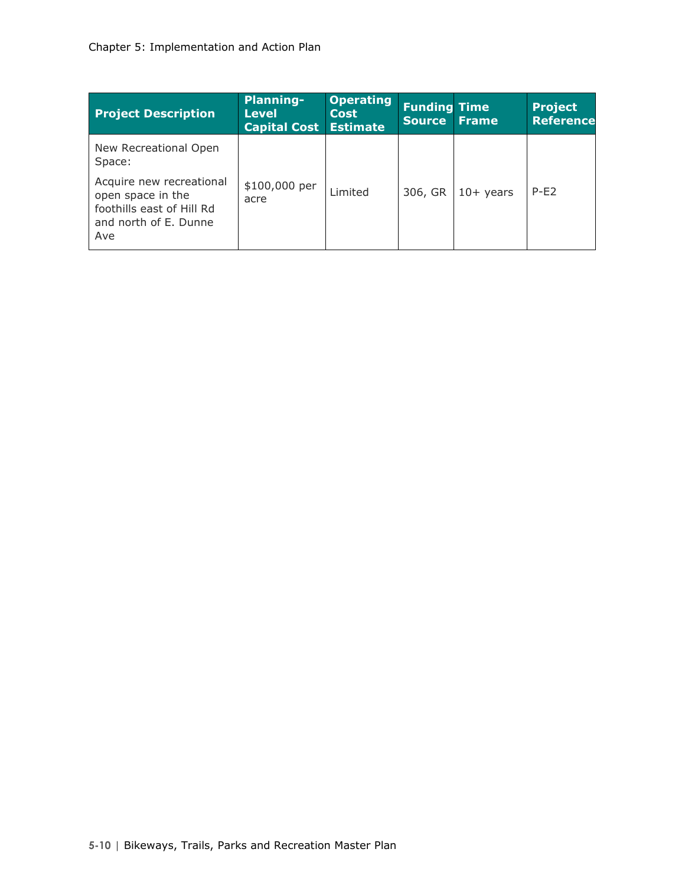| <b>Project Description</b>                                                                                 | <b>Planning-</b><br><b>Level</b><br><b>Capital Cost</b> | <b>Operating</b><br><b>Cost</b><br>Estimate | <b>Funding Time</b><br><b>Source</b> | <b>Frame</b> | <b>Project</b><br><b>Reference</b> |
|------------------------------------------------------------------------------------------------------------|---------------------------------------------------------|---------------------------------------------|--------------------------------------|--------------|------------------------------------|
| New Recreational Open<br>Space:                                                                            |                                                         |                                             |                                      |              |                                    |
| Acquire new recreational<br>open space in the<br>foothills east of Hill Rd<br>and north of E. Dunne<br>Ave | \$100,000 per<br>acre                                   | Limited                                     | 306, GR                              | $10+$ years  | $P-F2$                             |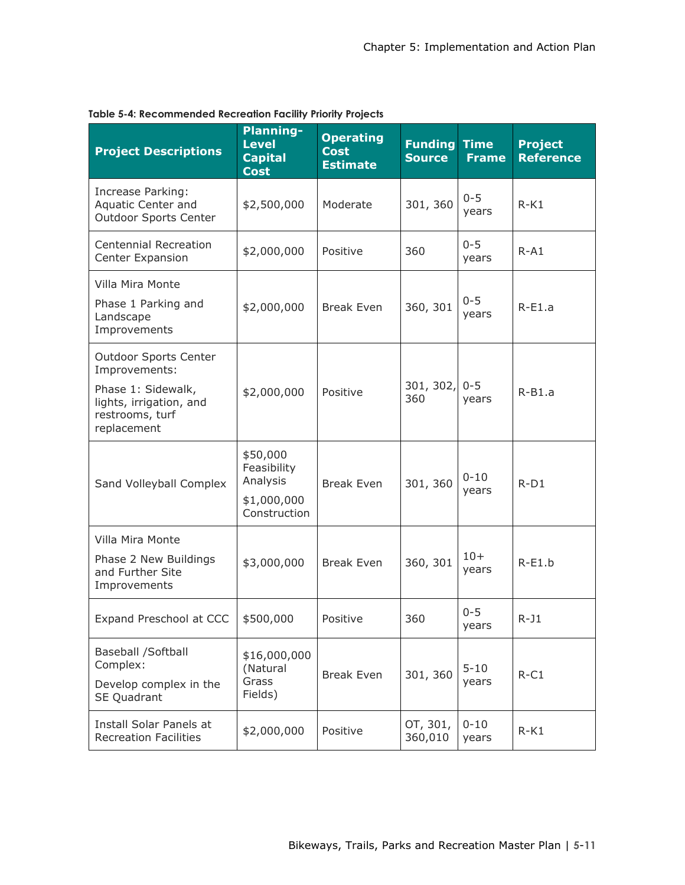| <b>Project Descriptions</b>                                                                                                      | <b>Planning-</b><br><b>Level</b><br><b>Capital</b><br><b>Cost</b>  | <b>Operating</b><br><b>Cost</b><br><b>Estimate</b> | <b>Funding</b><br><b>Source</b> | <b>Time</b><br><b>Frame</b> | <b>Project</b><br><b>Reference</b> |
|----------------------------------------------------------------------------------------------------------------------------------|--------------------------------------------------------------------|----------------------------------------------------|---------------------------------|-----------------------------|------------------------------------|
| Increase Parking:<br>Aquatic Center and<br>Outdoor Sports Center                                                                 | \$2,500,000                                                        | Moderate                                           | 301, 360                        | $0 - 5$<br>years            | $R-K1$                             |
| <b>Centennial Recreation</b><br>Center Expansion                                                                                 | \$2,000,000                                                        | Positive                                           | 360                             | $0 - 5$<br>years            | $R - A1$                           |
| Villa Mira Monte<br>Phase 1 Parking and<br>Landscape<br>Improvements                                                             | \$2,000,000                                                        | <b>Break Even</b>                                  | 360, 301                        | $0 - 5$<br>years            | $R-E1.a$                           |
| <b>Outdoor Sports Center</b><br>Improvements:<br>Phase 1: Sidewalk,<br>lights, irrigation, and<br>restrooms, turf<br>replacement | \$2,000,000                                                        | Positive                                           | 301, 302,<br>360                | $0 - 5$<br>years            | $R-B1.a$                           |
| Sand Volleyball Complex                                                                                                          | \$50,000<br>Feasibility<br>Analysis<br>\$1,000,000<br>Construction | <b>Break Even</b>                                  | 301, 360                        | $0 - 10$<br>years           | $R-D1$                             |
| Villa Mira Monte<br>Phase 2 New Buildings<br>and Further Site<br>Improvements                                                    | \$3,000,000                                                        | <b>Break Even</b>                                  | 360, 301                        | $10+$<br>years              | $R-E1.b$                           |
| Expand Preschool at CCC                                                                                                          | \$500,000                                                          | Positive                                           | 360                             | $0 - 5$<br>years            | $R-J1$                             |
| Baseball /Softball<br>Complex:<br>Develop complex in the<br>SE Quadrant                                                          | \$16,000,000<br>(Natural<br>Grass<br>Fields)                       | <b>Break Even</b>                                  | 301, 360                        | $5 - 10$<br>years           | $R-C1$                             |
| Install Solar Panels at<br><b>Recreation Facilities</b>                                                                          | \$2,000,000                                                        | Positive                                           | OT, 301,<br>360,010             | $0 - 10$<br>years           | $R-K1$                             |

#### **Table 5-4: Recommended Recreation Facility Priority Projects**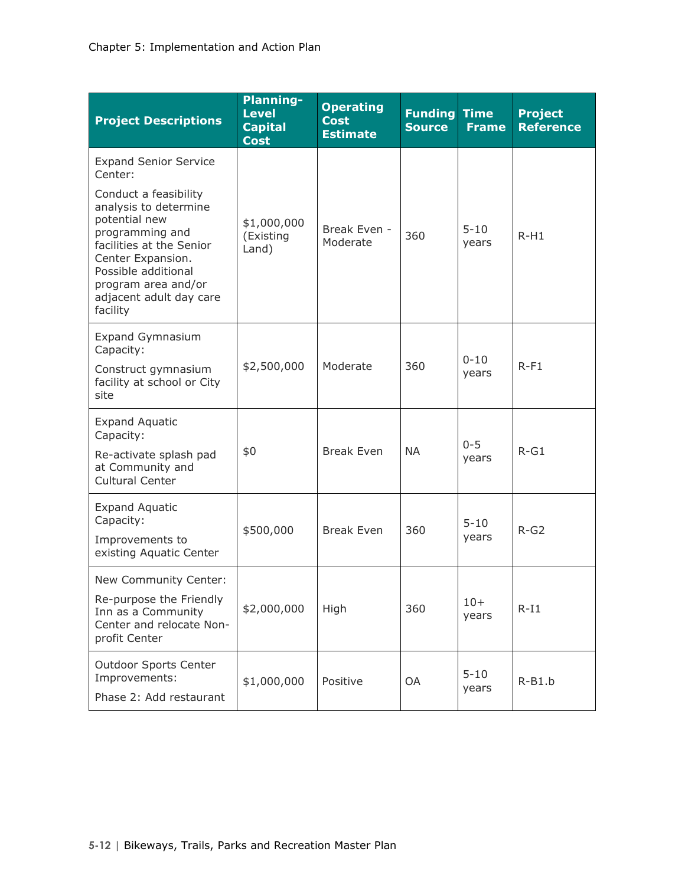| <b>Project Descriptions</b>                                                                                                                                                                                              | <b>Planning-</b><br><b>Level</b><br><b>Capital</b><br><b>Cost</b> | <b>Operating</b><br><b>Cost</b><br><b>Estimate</b> | <b>Funding Time</b><br><b>Source</b> | <b>Frame</b>      | <b>Project</b><br><b>Reference</b> |
|--------------------------------------------------------------------------------------------------------------------------------------------------------------------------------------------------------------------------|-------------------------------------------------------------------|----------------------------------------------------|--------------------------------------|-------------------|------------------------------------|
| <b>Expand Senior Service</b><br>Center:                                                                                                                                                                                  |                                                                   |                                                    |                                      |                   |                                    |
| Conduct a feasibility<br>analysis to determine<br>potential new<br>programming and<br>facilities at the Senior<br>Center Expansion.<br>Possible additional<br>program area and/or<br>adjacent adult day care<br>facility | \$1,000,000<br>(Existing<br>Land)                                 | Break Even -<br>Moderate                           | 360                                  | $5 - 10$<br>years | $R-H1$                             |
| <b>Expand Gymnasium</b><br>Capacity:<br>Construct gymnasium<br>facility at school or City                                                                                                                                | \$2,500,000                                                       | Moderate                                           | 360                                  | $0 - 10$<br>years | $R-F1$                             |
| site                                                                                                                                                                                                                     |                                                                   |                                                    |                                      |                   |                                    |
| <b>Expand Aquatic</b><br>Capacity:<br>Re-activate splash pad<br>at Community and<br>Cultural Center                                                                                                                      | \$0                                                               | <b>Break Even</b>                                  | <b>NA</b>                            | $0 - 5$<br>years  | $R-G1$                             |
| <b>Expand Aquatic</b><br>Capacity:<br>Improvements to<br>existing Aquatic Center                                                                                                                                         | \$500,000                                                         | <b>Break Even</b>                                  | 360                                  | $5 - 10$<br>years | $R-G2$                             |
| New Community Center:<br>Re-purpose the Friendly<br>Inn as a Community<br>Center and relocate Non-<br>profit Center                                                                                                      | \$2,000,000                                                       | High                                               | 360                                  | $10+$<br>years    | $R-I1$                             |
| <b>Outdoor Sports Center</b><br>Improvements:<br>Phase 2: Add restaurant                                                                                                                                                 | \$1,000,000                                                       | Positive                                           | OA                                   | $5 - 10$<br>years | $R-B1.b$                           |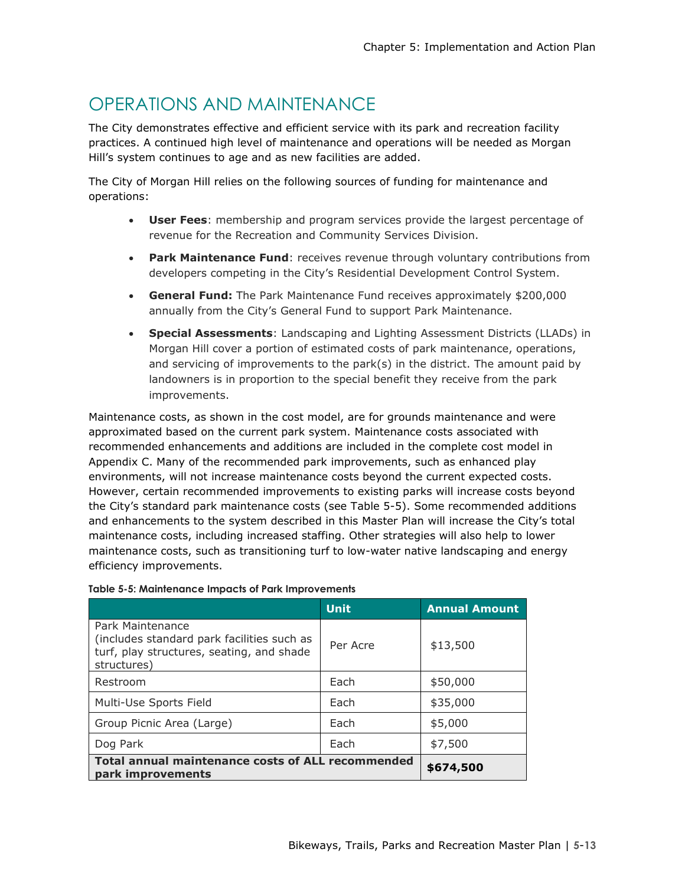### OPERATIONS AND MAINTENANCE

The City demonstrates effective and efficient service with its park and recreation facility practices. A continued high level of maintenance and operations will be needed as Morgan Hill's system continues to age and as new facilities are added.

The City of Morgan Hill relies on the following sources of funding for maintenance and operations:

- **User Fees**: membership and program services provide the largest percentage of revenue for the Recreation and Community Services Division.
- **Park Maintenance Fund**: receives revenue through voluntary contributions from developers competing in the City's Residential Development Control System.
- **General Fund:** The Park Maintenance Fund receives approximately \$200,000 annually from the City's General Fund to support Park Maintenance.
- **Special Assessments**: Landscaping and Lighting Assessment Districts (LLADs) in Morgan Hill cover a portion of estimated costs of park maintenance, operations, and servicing of improvements to the park(s) in the district. The amount paid by landowners is in proportion to the special benefit they receive from the park improvements.

Maintenance costs, as shown in the cost model, are for grounds maintenance and were approximated based on the current park system. Maintenance costs associated with recommended enhancements and additions are included in the complete cost model in Appendix C. Many of the recommended park improvements, such as enhanced play environments, will not increase maintenance costs beyond the current expected costs. However, certain recommended improvements to existing parks will increase costs beyond the City's standard park maintenance costs (see Table 5-5). Some recommended additions and enhancements to the system described in this Master Plan will increase the City's total maintenance costs, including increased staffing. Other strategies will also help to lower maintenance costs, such as transitioning turf to low-water native landscaping and energy efficiency improvements.

|                                                                                                                            | <b>Unit</b> | <b>Annual Amount</b> |
|----------------------------------------------------------------------------------------------------------------------------|-------------|----------------------|
| Park Maintenance<br>(includes standard park facilities such as<br>turf, play structures, seating, and shade<br>structures) | Per Acre    | \$13,500             |
| Restroom                                                                                                                   | Each        | \$50,000             |
| Multi-Use Sports Field                                                                                                     | Each        | \$35,000             |
| Group Picnic Area (Large)                                                                                                  | Fach        | \$5,000              |
| Dog Park                                                                                                                   | Each        | \$7,500              |
| <b>Total annual maintenance costs of ALL recommended</b><br>park improvements                                              | \$674,500   |                      |

#### **Table 5-5: Maintenance Impacts of Park Improvements**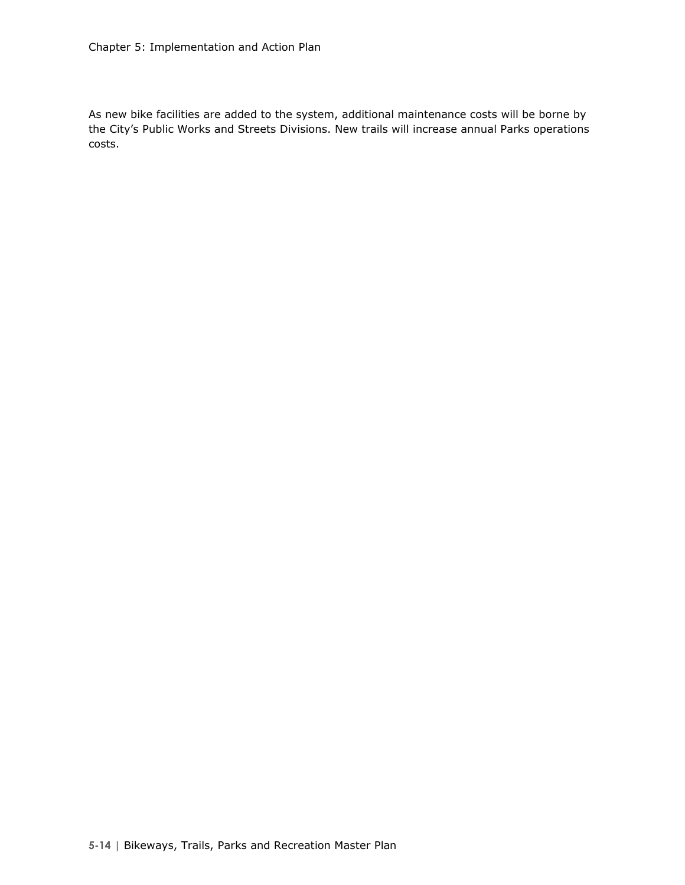As new bike facilities are added to the system, additional maintenance costs will be borne by the City's Public Works and Streets Divisions. New trails will increase annual Parks operations costs.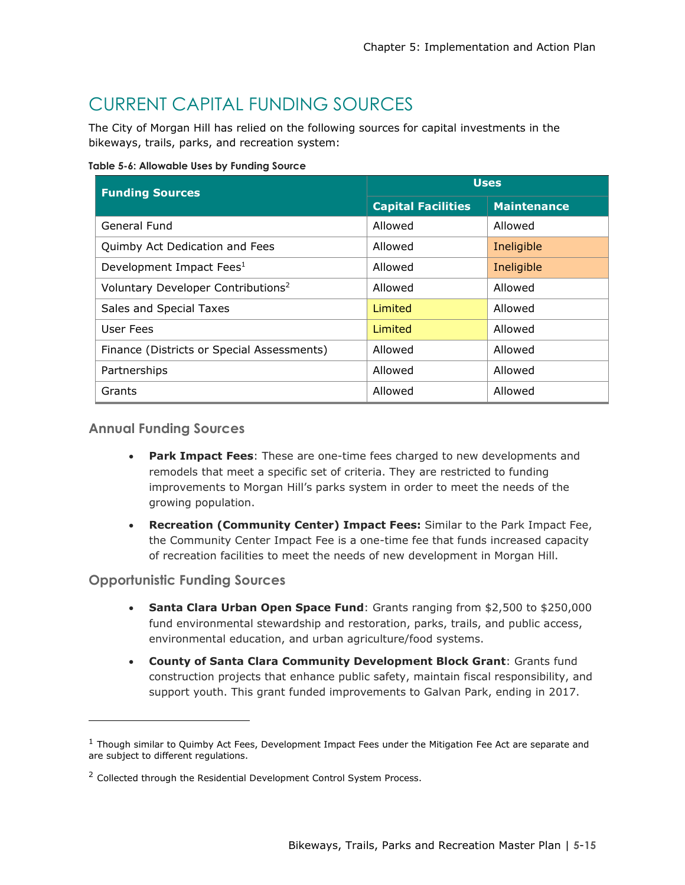# CURRENT CAPITAL FUNDING SOURCES

The City of Morgan Hill has relied on the following sources for capital investments in the bikeways, trails, parks, and recreation system:

**Table 5-6: Allowable Uses by Funding Source** 

| <b>Funding Sources</b>                         | <b>Uses</b>               |                    |  |  |
|------------------------------------------------|---------------------------|--------------------|--|--|
|                                                | <b>Capital Facilities</b> | <b>Maintenance</b> |  |  |
| General Fund                                   | Allowed                   | Allowed            |  |  |
| Quimby Act Dedication and Fees                 | Allowed                   | Ineligible         |  |  |
| Development Impact Fees <sup>1</sup>           | Allowed                   | Ineligible         |  |  |
| Voluntary Developer Contributions <sup>2</sup> | Allowed                   | Allowed            |  |  |
| Sales and Special Taxes                        | Limited                   | Allowed            |  |  |
| User Fees                                      | Limited                   | Allowed            |  |  |
| Finance (Districts or Special Assessments)     | Allowed                   | Allowed            |  |  |
| Partnerships                                   | Allowed                   | Allowed            |  |  |
| Grants                                         | Allowed                   | Allowed            |  |  |

#### **Annual Funding Sources**

- **Park Impact Fees**: These are one-time fees charged to new developments and remodels that meet a specific set of criteria. They are restricted to funding improvements to Morgan Hill's parks system in order to meet the needs of the growing population.
- **Recreation (Community Center) Impact Fees:** Similar to the Park Impact Fee, the Community Center Impact Fee is a one-time fee that funds increased capacity of recreation facilities to meet the needs of new development in Morgan Hill.

#### **Opportunistic Funding Sources**

 $\overline{a}$ 

- **Santa Clara Urban Open Space Fund**: Grants ranging from \$2,500 to \$250,000 fund environmental stewardship and restoration, parks, trails, and public access, environmental education, and urban agriculture/food systems.
- **County of Santa Clara Community Development Block Grant**: Grants fund construction projects that enhance public safety, maintain fiscal responsibility, and support youth. This grant funded improvements to Galvan Park, ending in 2017.

 $1$  Though similar to Quimby Act Fees, Development Impact Fees under the Mitigation Fee Act are separate and are subject to different regulations.

<sup>&</sup>lt;sup>2</sup> Collected through the Residential Development Control System Process.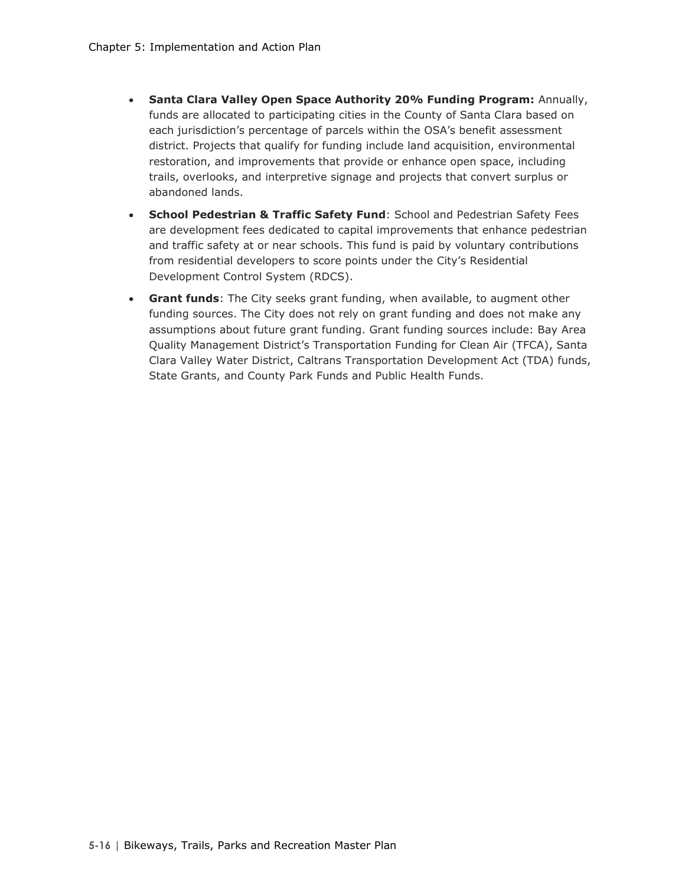- **Santa Clara Valley Open Space Authority 20% Funding Program:** Annually, funds are allocated to participating cities in the County of Santa Clara based on each jurisdiction's percentage of parcels within the OSA's benefit assessment district. Projects that qualify for funding include land acquisition, environmental restoration, and improvements that provide or enhance open space, including trails, overlooks, and interpretive signage and projects that convert surplus or abandoned lands.
- **School Pedestrian & Traffic Safety Fund**: School and Pedestrian Safety Fees are development fees dedicated to capital improvements that enhance pedestrian and traffic safety at or near schools. This fund is paid by voluntary contributions from residential developers to score points under the City's Residential Development Control System (RDCS).
- **Grant funds**: The City seeks grant funding, when available, to augment other funding sources. The City does not rely on grant funding and does not make any assumptions about future grant funding. Grant funding sources include: Bay Area Quality Management District's Transportation Funding for Clean Air (TFCA), Santa Clara Valley Water District, Caltrans Transportation Development Act (TDA) funds, State Grants, and County Park Funds and Public Health Funds.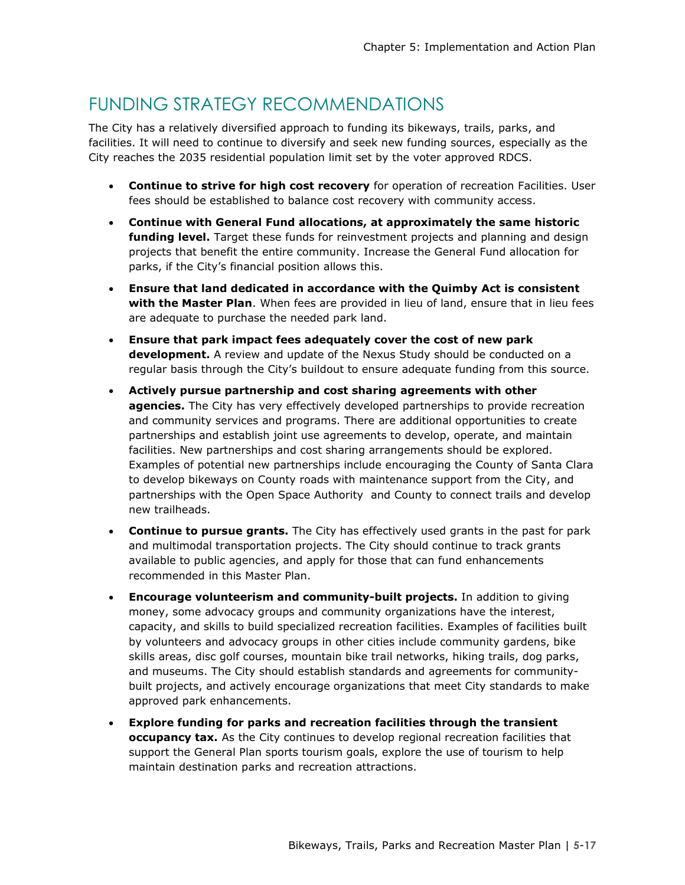#### FUNDING STRATEGY RECOMMENDATIONS

The City has a relatively diversified approach to funding its bikeways, trails, parks, and facilities. It will need to continue to diversify and seek new funding sources, especially as the City reaches the 2035 residential population limit set by the voter approved RDCS.

- **Continue to strive for high cost recovery** for operation of recreation Facilities. User fees should be established to balance cost recovery with community access.
- **Continue with General Fund allocations, at approximately the same historic funding level.** Target these funds for reinvestment projects and planning and design projects that benefit the entire community. Increase the General Fund allocation for parks, if the City's financial position allows this.
- **Ensure that land dedicated in accordance with the Quimby Act is consistent with the Master Plan**. When fees are provided in lieu of land, ensure that in lieu fees are adequate to purchase the needed park land.
- **Ensure that park impact fees adequately cover the cost of new park development.** A review and update of the Nexus Study should be conducted on a regular basis through the City's buildout to ensure adequate funding from this source.
- **Actively pursue partnership and cost sharing agreements with other agencies.** The City has very effectively developed partnerships to provide recreation and community services and programs. There are additional opportunities to create partnerships and establish joint use agreements to develop, operate, and maintain facilities. New partnerships and cost sharing arrangements should be explored. Examples of potential new partnerships include encouraging the County of Santa Clara to develop bikeways on County roads with maintenance support from the City, and partnerships with the Open Space Authority and County to connect trails and develop new trailheads.
- **Continue to pursue grants.** The City has effectively used grants in the past for park and multimodal transportation projects. The City should continue to track grants available to public agencies, and apply for those that can fund enhancements recommended in this Master Plan.
- **Encourage volunteerism and community-built projects.** In addition to giving money, some advocacy groups and community organizations have the interest, capacity, and skills to build specialized recreation facilities. Examples of facilities built by volunteers and advocacy groups in other cities include community gardens, bike skills areas, disc golf courses, mountain bike trail networks, hiking trails, dog parks, and museums. The City should establish standards and agreements for communitybuilt projects, and actively encourage organizations that meet City standards to make approved park enhancements.
- **Explore funding for parks and recreation facilities through the transient occupancy tax.** As the City continues to develop regional recreation facilities that support the General Plan sports tourism goals, explore the use of tourism to help maintain destination parks and recreation attractions.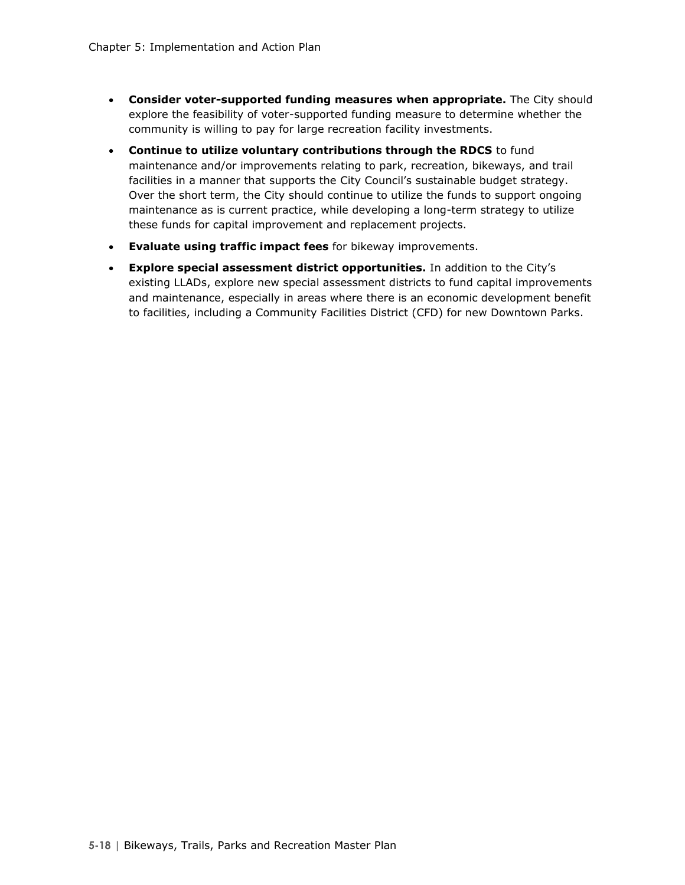- **Consider voter-supported funding measures when appropriate.** The City should explore the feasibility of voter-supported funding measure to determine whether the community is willing to pay for large recreation facility investments.
- **Continue to utilize voluntary contributions through the RDCS** to fund maintenance and/or improvements relating to park, recreation, bikeways, and trail facilities in a manner that supports the City Council's sustainable budget strategy. Over the short term, the City should continue to utilize the funds to support ongoing maintenance as is current practice, while developing a long-term strategy to utilize these funds for capital improvement and replacement projects.
- **Evaluate using traffic impact fees** for bikeway improvements.
- **Explore special assessment district opportunities.** In addition to the City's existing LLADs, explore new special assessment districts to fund capital improvements and maintenance, especially in areas where there is an economic development benefit to facilities, including a Community Facilities District (CFD) for new Downtown Parks.